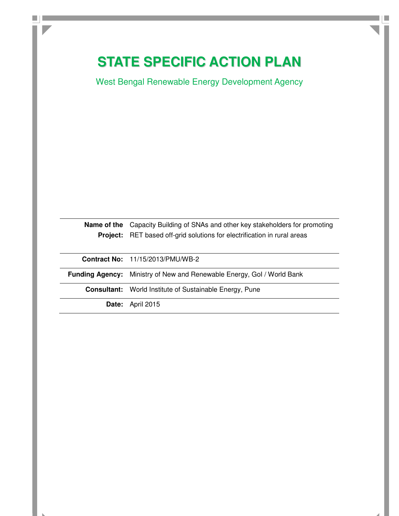# **STATE SPECIFIC ACTION PLAN**

 $\Box$ 

West Bengal Renewable Energy Development Agency

| <b>Name of the</b> Capacity Building of SNAs and other key stakeholders for promoting<br><b>Project:</b> RET based off-grid solutions for electrification in rural areas |
|--------------------------------------------------------------------------------------------------------------------------------------------------------------------------|
| <b>Contract No: 11/15/2013/PMU/WB-2</b>                                                                                                                                  |
| <b>Funding Agency:</b> Ministry of New and Renewable Energy, Gol / World Bank                                                                                            |
| <b>Consultant:</b> World Institute of Sustainable Energy, Pune                                                                                                           |
| <b>Date:</b> April 2015                                                                                                                                                  |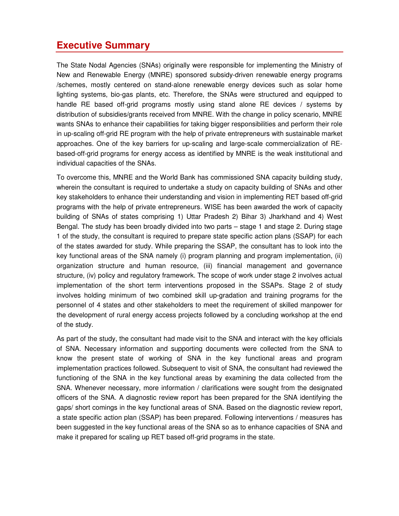## **Executive Summary**

The State Nodal Agencies (SNAs) originally were responsible for implementing the Ministry of New and Renewable Energy (MNRE) sponsored subsidy-driven renewable energy programs /schemes, mostly centered on stand-alone renewable energy devices such as solar home lighting systems, bio-gas plants, etc. Therefore, the SNAs were structured and equipped to handle RE based off-grid programs mostly using stand alone RE devices / systems by distribution of subsidies/grants received from MNRE. With the change in policy scenario, MNRE wants SNAs to enhance their capabilities for taking bigger responsibilities and perform their role in up-scaling off-grid RE program with the help of private entrepreneurs with sustainable market approaches. One of the key barriers for up-scaling and large-scale commercialization of REbased-off-grid programs for energy access as identified by MNRE is the weak institutional and individual capacities of the SNAs.

To overcome this, MNRE and the World Bank has commissioned SNA capacity building study, wherein the consultant is required to undertake a study on capacity building of SNAs and other key stakeholders to enhance their understanding and vision in implementing RET based off-grid programs with the help of private entrepreneurs. WISE has been awarded the work of capacity building of SNAs of states comprising 1) Uttar Pradesh 2) Bihar 3) Jharkhand and 4) West Bengal. The study has been broadly divided into two parts – stage 1 and stage 2. During stage 1 of the study, the consultant is required to prepare state specific action plans (SSAP) for each of the states awarded for study. While preparing the SSAP, the consultant has to look into the key functional areas of the SNA namely (i) program planning and program implementation, (ii) organization structure and human resource, (iii) financial management and governance structure, (iv) policy and regulatory framework. The scope of work under stage 2 involves actual implementation of the short term interventions proposed in the SSAPs. Stage 2 of study involves holding minimum of two combined skill up-gradation and training programs for the personnel of 4 states and other stakeholders to meet the requirement of skilled manpower for the development of rural energy access projects followed by a concluding workshop at the end of the study.

As part of the study, the consultant had made visit to the SNA and interact with the key officials of SNA. Necessary information and supporting documents were collected from the SNA to know the present state of working of SNA in the key functional areas and program implementation practices followed. Subsequent to visit of SNA, the consultant had reviewed the functioning of the SNA in the key functional areas by examining the data collected from the SNA. Whenever necessary, more information / clarifications were sought from the designated officers of the SNA. A diagnostic review report has been prepared for the SNA identifying the gaps/ short comings in the key functional areas of SNA. Based on the diagnostic review report, a state specific action plan (SSAP) has been prepared. Following interventions / measures has been suggested in the key functional areas of the SNA so as to enhance capacities of SNA and make it prepared for scaling up RET based off-grid programs in the state.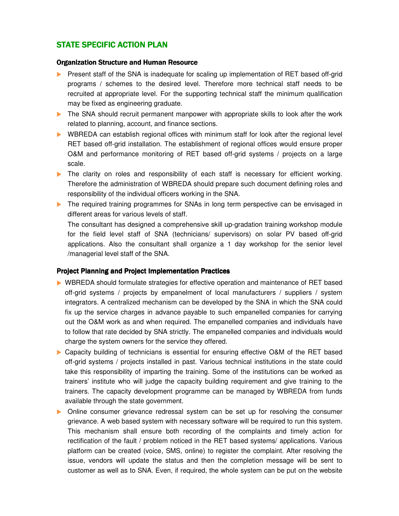## STATE SPECIFIC ACTION PLAN

#### **Organization Structure and Human Resource**

- **Present staff of the SNA is inadequate for scaling up implementation of RET based off-grid** programs / schemes to the desired level. Therefore more technical staff needs to be recruited at appropriate level. For the supporting technical staff the minimum qualification may be fixed as engineering graduate.
- The SNA should recruit permanent manpower with appropriate skills to look after the work related to planning, account, and finance sections.
- WBREDA can establish regional offices with minimum staff for look after the regional level RET based off-grid installation. The establishment of regional offices would ensure proper O&M and performance monitoring of RET based off-grid systems / projects on a large scale.
- The clarity on roles and responsibility of each staff is necessary for efficient working. Therefore the administration of WBREDA should prepare such document defining roles and responsibility of the individual officers working in the SNA.
- **The required training programmes for SNAs in long term perspective can be envisaged in** different areas for various levels of staff.

The consultant has designed a comprehensive skill up-gradation training workshop module for the field level staff of SNA (technicians/ supervisors) on solar PV based off-grid applications. Also the consultant shall organize a 1 day workshop for the senior level /managerial level staff of the SNA.

#### Project Planning and Project Implementation Practices

- WBREDA should formulate strategies for effective operation and maintenance of RET based off-grid systems / projects by empanelment of local manufacturers / suppliers / system integrators. A centralized mechanism can be developed by the SNA in which the SNA could fix up the service charges in advance payable to such empanelled companies for carrying out the O&M work as and when required. The empanelled companies and individuals have to follow that rate decided by SNA strictly. The empanelled companies and individuals would charge the system owners for the service they offered.
- Capacity building of technicians is essential for ensuring effective O&M of the RET based off-grid systems / projects installed in past. Various technical institutions in the state could take this responsibility of imparting the training. Some of the institutions can be worked as trainers' institute who will judge the capacity building requirement and give training to the trainers. The capacity development programme can be managed by WBREDA from funds available through the state government.
- Online consumer grievance redressal system can be set up for resolving the consumer grievance. A web based system with necessary software will be required to run this system. This mechanism shall ensure both recording of the complaints and timely action for rectification of the fault / problem noticed in the RET based systems/ applications. Various platform can be created (voice, SMS, online) to register the complaint. After resolving the issue, vendors will update the status and then the completion message will be sent to customer as well as to SNA. Even, if required, the whole system can be put on the website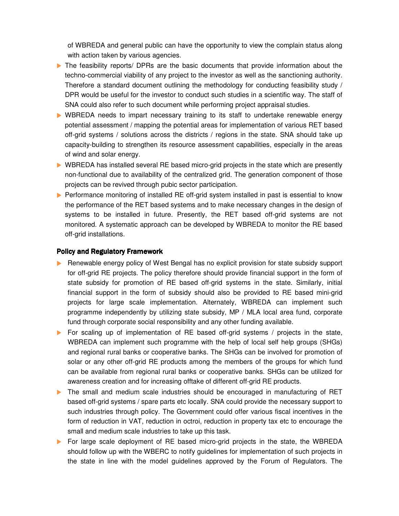of WBREDA and general public can have the opportunity to view the complain status along with action taken by various agencies.

- The feasibility reports/ DPRs are the basic documents that provide information about the techno-commercial viability of any project to the investor as well as the sanctioning authority. Therefore a standard document outlining the methodology for conducting feasibility study / DPR would be useful for the investor to conduct such studies in a scientific way. The staff of SNA could also refer to such document while performing project appraisal studies.
- WBREDA needs to impart necessary training to its staff to undertake renewable energy potential assessment / mapping the potential areas for implementation of various RET based off-grid systems / solutions across the districts / regions in the state. SNA should take up capacity-building to strengthen its resource assessment capabilities, especially in the areas of wind and solar energy.
- ▶ WBREDA has installed several RE based micro-grid projects in the state which are presently non-functional due to availability of the centralized grid. The generation component of those projects can be revived through pubic sector participation.
- **Performance monitoring of installed RE off-grid system installed in past is essential to know** the performance of the RET based systems and to make necessary changes in the design of systems to be installed in future. Presently, the RET based off-grid systems are not monitored. A systematic approach can be developed by WBREDA to monitor the RE based off-grid installations.

#### Policy and Regulatory Framework

- Renewable energy policy of West Bengal has no explicit provision for state subsidy support for off-grid RE projects. The policy therefore should provide financial support in the form of state subsidy for promotion of RE based off-grid systems in the state. Similarly, initial financial support in the form of subsidy should also be provided to RE based mini-grid projects for large scale implementation. Alternately, WBREDA can implement such programme independently by utilizing state subsidy, MP / MLA local area fund, corporate fund through corporate social responsibility and any other funding available.
- For scaling up of implementation of RE based off-grid systems / projects in the state, WBREDA can implement such programme with the help of local self help groups (SHGs) and regional rural banks or cooperative banks. The SHGs can be involved for promotion of solar or any other off-grid RE products among the members of the groups for which fund can be available from regional rural banks or cooperative banks. SHGs can be utilized for awareness creation and for increasing offtake of different off-grid RE products.
- The small and medium scale industries should be encouraged in manufacturing of RET based off-grid systems / spare parts etc locally. SNA could provide the necessary support to such industries through policy. The Government could offer various fiscal incentives in the form of reduction in VAT, reduction in octroi, reduction in property tax etc to encourage the small and medium scale industries to take up this task.
- For large scale deployment of RE based micro-grid projects in the state, the WBREDA should follow up with the WBERC to notify guidelines for implementation of such projects in the state in line with the model guidelines approved by the Forum of Regulators. The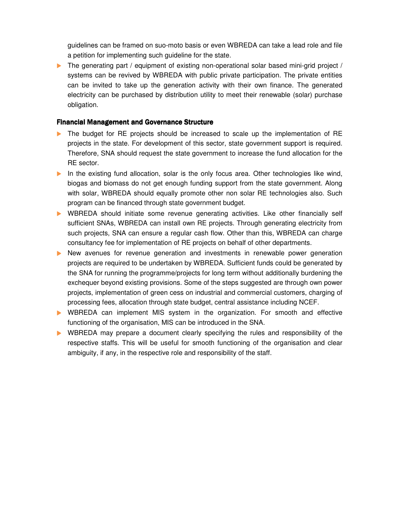guidelines can be framed on suo-moto basis or even WBREDA can take a lead role and file a petition for implementing such guideline for the state.

The generating part / equipment of existing non-operational solar based mini-grid project / systems can be revived by WBREDA with public private participation. The private entities can be invited to take up the generation activity with their own finance. The generated electricity can be purchased by distribution utility to meet their renewable (solar) purchase obligation.

#### Financial Management and Governance Structure

- The budget for RE projects should be increased to scale up the implementation of RE projects in the state. For development of this sector, state government support is required. Therefore, SNA should request the state government to increase the fund allocation for the RE sector.
- In the existing fund allocation, solar is the only focus area. Other technologies like wind, biogas and biomass do not get enough funding support from the state government. Along with solar, WBREDA should equally promote other non solar RE technologies also. Such program can be financed through state government budget.
- WBREDA should initiate some revenue generating activities. Like other financially self sufficient SNAs, WBREDA can install own RE projects. Through generating electricity from such projects, SNA can ensure a regular cash flow. Other than this, WBREDA can charge consultancy fee for implementation of RE projects on behalf of other departments.
- New avenues for revenue generation and investments in renewable power generation projects are required to be undertaken by WBREDA. Sufficient funds could be generated by the SNA for running the programme/projects for long term without additionally burdening the exchequer beyond existing provisions. Some of the steps suggested are through own power projects, implementation of green cess on industrial and commercial customers, charging of processing fees, allocation through state budget, central assistance including NCEF.
- WBREDA can implement MIS system in the organization. For smooth and effective functioning of the organisation, MIS can be introduced in the SNA.
- WBREDA may prepare a document clearly specifying the rules and responsibility of the respective staffs. This will be useful for smooth functioning of the organisation and clear ambiguity, if any, in the respective role and responsibility of the staff.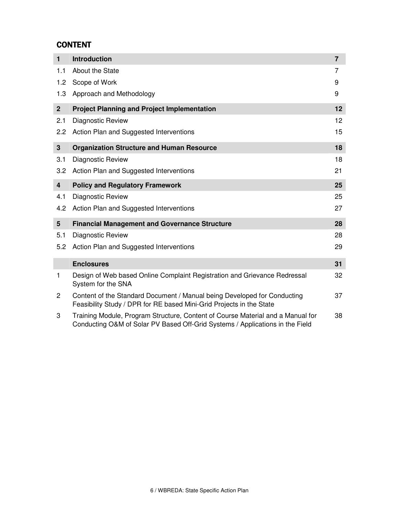## CONTENT

| $\mathbf{1}$            | <b>Introduction</b>                                                                                                                                              | $\overline{7}$ |
|-------------------------|------------------------------------------------------------------------------------------------------------------------------------------------------------------|----------------|
| 1.1                     | About the State                                                                                                                                                  | 7              |
| 1.2                     | Scope of Work                                                                                                                                                    | 9              |
| 1.3                     | Approach and Methodology                                                                                                                                         | 9              |
| $\overline{2}$          | <b>Project Planning and Project Implementation</b>                                                                                                               | 12             |
| 2.1                     | Diagnostic Review                                                                                                                                                | 12             |
| 2.2                     | Action Plan and Suggested Interventions                                                                                                                          | 15             |
| 3                       | <b>Organization Structure and Human Resource</b>                                                                                                                 | 18             |
| 3.1                     | Diagnostic Review                                                                                                                                                | 18             |
| 3.2                     | Action Plan and Suggested Interventions                                                                                                                          | 21             |
| $\overline{\mathbf{4}}$ | <b>Policy and Regulatory Framework</b>                                                                                                                           | 25             |
| 4.1                     | Diagnostic Review                                                                                                                                                | 25             |
| 4.2                     | Action Plan and Suggested Interventions                                                                                                                          | 27             |
| $5\phantom{.0}$         | <b>Financial Management and Governance Structure</b>                                                                                                             | 28             |
| 5.1                     | Diagnostic Review                                                                                                                                                | 28             |
| 5.2                     | Action Plan and Suggested Interventions                                                                                                                          | 29             |
|                         | <b>Enclosures</b>                                                                                                                                                | 31             |
| 1                       | Design of Web based Online Complaint Registration and Grievance Redressal<br>System for the SNA                                                                  | 32             |
| $\mathbf{2}$            | Content of the Standard Document / Manual being Developed for Conducting<br>Feasibility Study / DPR for RE based Mini-Grid Projects in the State                 | 37             |
| 3                       | Training Module, Program Structure, Content of Course Material and a Manual for<br>Conducting O&M of Solar PV Based Off-Grid Systems / Applications in the Field | 38             |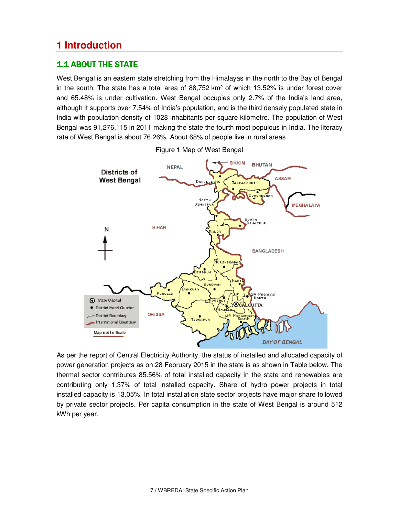## **1 Introduction**

## 1.1 ABOUT THE STATE

West Bengal is an eastern state stretching from the Himalayas in the north to the Bay of Bengal in the south. The state has a total area of  $88,752 \text{ km}^2$  of which 13.52% is under forest cover and 65.48% is under cultivation. West Bengal occupies only 2.7% of the India's land area, although it supports over 7.54% of India's population, and is the third densely populated state in India with population density of 1028 inhabitants per square kilometre. The population of West Bengal was 91,276,115 in 2011 making the state the fourth most populous in India. The literacy rate of West Bengal is about 76.26%. About 68% of people live in rural areas.



Figure **1** Map of West Bengal

As per the report of Central Electricity Authority, the status of installed and allocated capacity of power generation projects as on 28 February 2015 in the state is as shown in Table below. The thermal sector contributes 85.56% of total installed capacity in the state and renewables are contributing only 1.37% of total installed capacity. Share of hydro power projects in total installed capacity is 13.05%. In total installation state sector projects have major share followed by private sector projects. Per capita consumption in the state of West Bengal is around 512 kWh per year.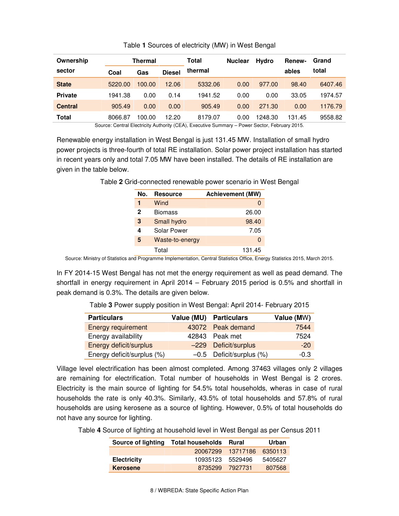| Ownership      | <b>Thermal</b> |        |               | Total   | <b>Nuclear</b> | <b>Hvdro</b> | <b>Renew-</b> | Grand   |
|----------------|----------------|--------|---------------|---------|----------------|--------------|---------------|---------|
| sector         | Coal           | Gas    | <b>Diesel</b> | thermal |                |              | ables         | total   |
| <b>State</b>   | 5220.00        | 100.00 | 12.06         | 5332.06 | 0.00           | 977.00       | 98.40         | 6407.46 |
| <b>Private</b> | 1941.38        | 0.00   | 0.14          | 1941.52 | 0.00           | 0.00         | 33.05         | 1974.57 |
| <b>Central</b> | 905.49         | 0.00   | 0.00          | 905.49  | 0.00           | 271.30       | 0.00          | 1176.79 |
| <b>Total</b>   | 8066.87        | 100.00 | 12.20         | 8179.07 | 0.00           | 1248.30      | 131.45        | 9558.82 |

#### Table **1** Sources of electricity (MW) in West Bengal

Source: Central Electricity Authority (CEA), Executive Summary – Power Sector, February 2015.

Renewable energy installation in West Bengal is just 131.45 MW. Installation of small hydro power projects is three-fourth of total RE installation. Solar power project installation has started in recent years only and total 7.05 MW have been installed. The details of RE installation are given in the table below.

| No. | <b>Resource</b> | <b>Achievement (MW)</b> |
|-----|-----------------|-------------------------|
| 1   | Wind            |                         |
| 2   | <b>Biomass</b>  | 26.00                   |
| 3   | Small hydro     | 98.40                   |
| 4   | Solar Power     | 7.05                    |
| 5   | Waste-to-energy | $\Omega$                |
|     | Total           | 131.45                  |

Table **2** Grid-connected renewable power scenario in West Bengal

Source: Ministry of Statistics and Programme Implementation, Central Statistics Office, Energy Statistics 2015, March 2015.

In FY 2014-15 West Bengal has not met the energy requirement as well as pead demand. The shortfall in energy requirement in April 2014 – February 2015 period is 0.5% and shortfall in peak demand is 0.3%. The details are given below.

Table **3** Power supply position in West Bengal: April 2014- February 2015

| <b>Particulars</b>         | Value (MU) Particulars        | Value (MW) |
|----------------------------|-------------------------------|------------|
| <b>Energy requirement</b>  | 43072 Peak demand             | 7544       |
| Energy availability        | 42843 Peak met                | 7524       |
| Energy deficit/surplus     | -229 Deficit/surplus          | $-20$      |
| Energy deficit/surplus (%) | $-0.5$ Deficit/surplus $(\%)$ | $-0.3$     |

Village level electrification has been almost completed. Among 37463 villages only 2 villages are remaining for electrification. Total number of households in West Bengal is 2 crores. Electricity is the main source of lighting for 54.5% total households, wheras in case of rural households the rate is only 40.3%. Similarly, 43.5% of total households and 57.8% of rural households are using kerosene as a source of lighting. However, 0.5% of total households do not have any source for lighting.

Table **4** Source of lighting at household level in West Bengal as per Census 2011

| Source of lighting | Total households Rural |          | Urban   |
|--------------------|------------------------|----------|---------|
|                    | 20067299               | 13717186 | 6350113 |
| <b>Electricity</b> | 10935123               | 5529496  | 5405627 |
| <b>Kerosene</b>    | 8735299                | 7927731  | 807568  |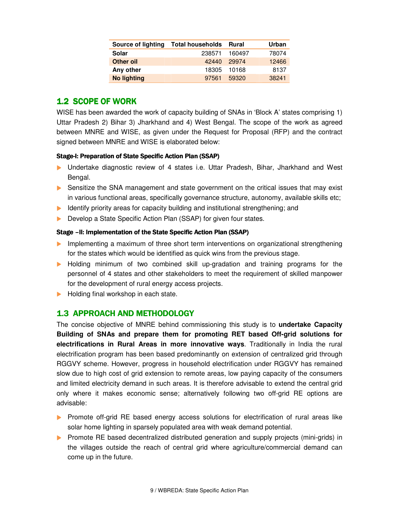| <b>Source of lighting</b> | <b>Total households</b> | Rural  | Urban |
|---------------------------|-------------------------|--------|-------|
| Solar                     | 238571                  | 160497 | 78074 |
| Other oil                 | 42440                   | 29974  | 12466 |
| Any other                 | 18305                   | 10168  | 8137  |
| <b>No lighting</b>        | 97561                   | 59320  | 38241 |

## 1.2 SCOPE OF WORK

WISE has been awarded the work of capacity building of SNAs in 'Block A' states comprising 1) Uttar Pradesh 2) Bihar 3) Jharkhand and 4) West Bengal. The scope of the work as agreed between MNRE and WISE, as given under the Request for Proposal (RFP) and the contract signed between MNRE and WISE is elaborated below:

#### Stage-I: Preparation of State Specific Action Plan (SSAP)

- Undertake diagnostic review of 4 states i.e. Uttar Pradesh, Bihar, Jharkhand and West Bengal.
- ▶ Sensitize the SNA management and state government on the critical issues that may exist in various functional areas, specifically governance structure, autonomy, available skills etc;
- Identify priority areas for capacity building and institutional strengthening; and
- Develop a State Specific Action Plan (SSAP) for given four states.

#### Stage – II: Implementation of the State Specific Action Plan (SSAP)

- **Implementing a maximum of three short term interventions on organizational strengthening** for the states which would be identified as quick wins from the previous stage.
- Holding minimum of two combined skill up-gradation and training programs for the personnel of 4 states and other stakeholders to meet the requirement of skilled manpower for the development of rural energy access projects.
- Holding final workshop in each state.

### 1.3 APPROACH AND METHODOLOGY

The concise objective of MNRE behind commissioning this study is to **undertake Capacity Building of SNAs and prepare them for promoting RET based Off-grid solutions for electrifications in Rural Areas in more innovative ways**. Traditionally in India the rural electrification program has been based predominantly on extension of centralized grid through RGGVY scheme. However, progress in household electrification under RGGVY has remained slow due to high cost of grid extension to remote areas, low paying capacity of the consumers and limited electricity demand in such areas. It is therefore advisable to extend the central grid only where it makes economic sense; alternatively following two off-grid RE options are advisable:

- **Promote of f-grid RE based energy access solutions for electrification of rural areas like** solar home lighting in sparsely populated area with weak demand potential.
- **Promote RE based decentralized distributed generation and supply projects (mini-grids) in** the villages outside the reach of central grid where agriculture/commercial demand can come up in the future.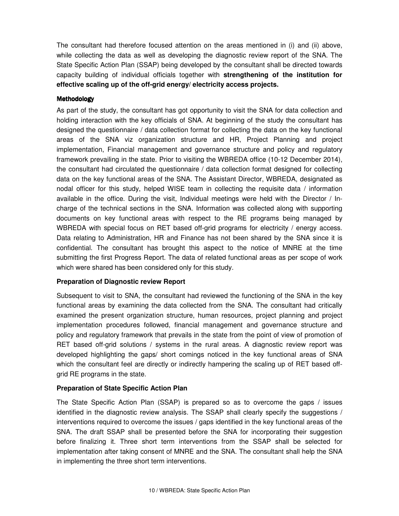The consultant had therefore focused attention on the areas mentioned in (i) and (ii) above, while collecting the data as well as developing the diagnostic review report of the SNA. The State Specific Action Plan (SSAP) being developed by the consultant shall be directed towards capacity building of individual officials together with **strengthening of the institution for effective scaling up of the off-grid energy/ electricity access projects.**

#### Methodology

As part of the study, the consultant has got opportunity to visit the SNA for data collection and holding interaction with the key officials of SNA. At beginning of the study the consultant has designed the questionnaire / data collection format for collecting the data on the key functional areas of the SNA viz organization structure and HR, Project Planning and project implementation, Financial management and governance structure and policy and regulatory framework prevailing in the state. Prior to visiting the WBREDA office (10-12 December 2014), the consultant had circulated the questionnaire / data collection format designed for collecting data on the key functional areas of the SNA. The Assistant Director, WBREDA, designated as nodal officer for this study, helped WISE team in collecting the requisite data / information available in the office. During the visit, Individual meetings were held with the Director / Incharge of the technical sections in the SNA. Information was collected along with supporting documents on key functional areas with respect to the RE programs being managed by WBREDA with special focus on RET based off-grid programs for electricity / energy access. Data relating to Administration, HR and Finance has not been shared by the SNA since it is confidential. The consultant has brought this aspect to the notice of MNRE at the time submitting the first Progress Report. The data of related functional areas as per scope of work which were shared has been considered only for this study.

#### **Preparation of Diagnostic review Report**

Subsequent to visit to SNA, the consultant had reviewed the functioning of the SNA in the key functional areas by examining the data collected from the SNA. The consultant had critically examined the present organization structure, human resources, project planning and project implementation procedures followed, financial management and governance structure and policy and regulatory framework that prevails in the state from the point of view of promotion of RET based off-grid solutions / systems in the rural areas. A diagnostic review report was developed highlighting the gaps/ short comings noticed in the key functional areas of SNA which the consultant feel are directly or indirectly hampering the scaling up of RET based offgrid RE programs in the state.

#### **Preparation of State Specific Action Plan**

The State Specific Action Plan (SSAP) is prepared so as to overcome the gaps / issues identified in the diagnostic review analysis. The SSAP shall clearly specify the suggestions / interventions required to overcome the issues / gaps identified in the key functional areas of the SNA. The draft SSAP shall be presented before the SNA for incorporating their suggestion before finalizing it. Three short term interventions from the SSAP shall be selected for implementation after taking consent of MNRE and the SNA. The consultant shall help the SNA in implementing the three short term interventions.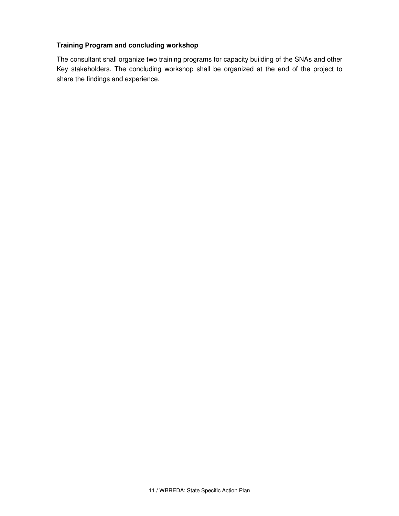#### **Training Program and concluding workshop**

The consultant shall organize two training programs for capacity building of the SNAs and other Key stakeholders. The concluding workshop shall be organized at the end of the project to share the findings and experience.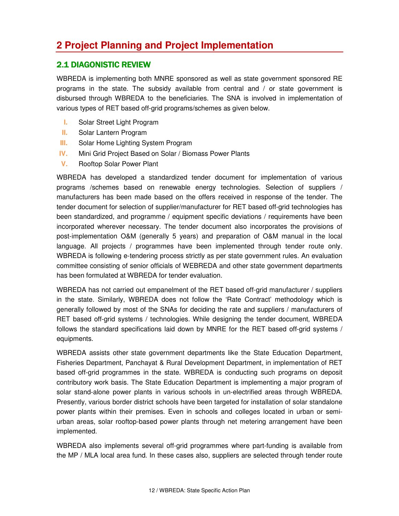## **2 Project Planning and Project Implementation**

## **2.1 DIAGONISTIC REVIEW**

WBREDA is implementing both MNRE sponsored as well as state government sponsored RE programs in the state. The subsidy available from central and / or state government is disbursed through WBREDA to the beneficiaries. The SNA is involved in implementation of various types of RET based off-grid programs/schemes as given below.

- **I.** Solar Street Light Program
- **II.** Solar Lantern Program
- **III.** Solar Home Lighting System Program
- **IV.** Mini Grid Project Based on Solar / Biomass Power Plants
- **V.** Rooftop Solar Power Plant

WBREDA has developed a standardized tender document for implementation of various programs /schemes based on renewable energy technologies. Selection of suppliers / manufacturers has been made based on the offers received in response of the tender. The tender document for selection of supplier/manufacturer for RET based off-grid technologies has been standardized, and programme / equipment specific deviations / requirements have been incorporated wherever necessary. The tender document also incorporates the provisions of post-implementation O&M (generally 5 years) and preparation of O&M manual in the local language. All projects / programmes have been implemented through tender route only. WBREDA is following e-tendering process strictly as per state government rules. An evaluation committee consisting of senior officials of WEBREDA and other state government departments has been formulated at WBREDA for tender evaluation.

WBREDA has not carried out empanelment of the RET based off-grid manufacturer / suppliers in the state. Similarly, WBREDA does not follow the 'Rate Contract' methodology which is generally followed by most of the SNAs for deciding the rate and suppliers / manufacturers of RET based off-grid systems / technologies. While designing the tender document, WBREDA follows the standard specifications laid down by MNRE for the RET based off-grid systems / equipments.

WBREDA assists other state government departments like the State Education Department, Fisheries Department, Panchayat & Rural Development Department, in implementation of RET based off-grid programmes in the state. WBREDA is conducting such programs on deposit contributory work basis. The State Education Department is implementing a major program of solar stand-alone power plants in various schools in un-electrified areas through WBREDA. Presently, various border district schools have been targeted for installation of solar standalone power plants within their premises. Even in schools and colleges located in urban or semiurban areas, solar rooftop-based power plants through net metering arrangement have been implemented.

WBREDA also implements several off-grid programmes where part-funding is available from the MP / MLA local area fund. In these cases also, suppliers are selected through tender route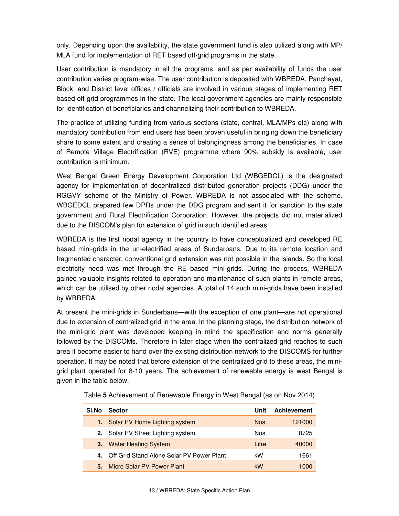only. Depending upon the availability, the state government fund is also utilized along with MP/ MLA fund for implementation of RET based off-grid programs in the state.

User contribution is mandatory in all the programs, and as per availability of funds the user contribution varies program-wise. The user contribution is deposited with WBREDA. Panchayat, Block, and District level offices / officials are involved in various stages of implementing RET based off-grid programmes in the state. The local government agencies are mainly responsible for identification of beneficiaries and channelizing their contribution to WBREDA.

The practice of utilizing funding from various sections (state, central, MLA/MPs etc) along with mandatory contribution from end users has been proven useful in bringing down the beneficiary share to some extent and creating a sense of belongingness among the beneficiaries. In case of Remote Village Electrification (RVE) programme where 90% subsidy is available, user contribution is minimum.

West Bengal Green Energy Development Corporation Ltd (WBGEDCL) is the designated agency for implementation of decentralized distributed generation projects (DDG) under the RGGVY scheme of the Ministry of Power. WBREDA is not associated with the scheme. WBGEDCL prepared few DPRs under the DDG program and sent it for sanction to the state government and Rural Electrification Corporation. However, the projects did not materialized due to the DISCOM's plan for extension of grid in such identified areas.

WBREDA is the first nodal agency in the country to have conceptualized and developed RE based mini-grids in the un-electrified areas of Sundarbans. Due to its remote location and fragmented character, conventional grid extension was not possible in the islands. So the local electricity need was met through the RE based mini-grids. During the process, WBREDA gained valuable insights related to operation and maintenance of such plants in remote areas, which can be utilised by other nodal agencies. A total of 14 such mini-grids have been installed by WBREDA.

At present the mini-grids in Sunderbans—with the exception of one plant—are not operational due to extension of centralized grid in the area. In the planning stage, the distribution network of the mini-grid plant was developed keeping in mind the specification and norms generally followed by the DISCOMs. Therefore in later stage when the centralized grid reaches to such area it become easier to hand over the existing distribution network to the DISCOMS for further operation. It may be noted that before extension of the centralized grid to these areas, the minigrid plant operated for 8-10 years. The achievement of renewable energy is west Bengal is given in the table below.

| SI.No | <b>Sector</b>                             | Unit  | <b>Achievement</b> |
|-------|-------------------------------------------|-------|--------------------|
|       | <b>1.</b> Solar PV Home Lighting system   | Nos.  | 121000             |
|       | 2. Solar PV Street Lighting system        | Nos.  | 8725               |
|       | <b>3.</b> Water Heating System            | Litre | 40000              |
| 4.    | Off Grid Stand Alone Solar PV Power Plant | kW    | 1661               |
| 5.    | Micro Solar PV Power Plant                | kW    | 1000               |

Table **5** Achievement of Renewable Energy in West Bengal (as on Nov 2014)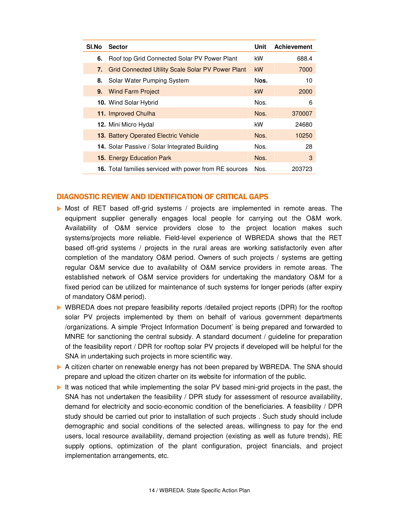| SI.No | <b>Sector</b>                                                 | Unit      | <b>Achievement</b> |
|-------|---------------------------------------------------------------|-----------|--------------------|
| 6.    | Roof top Grid Connected Solar PV Power Plant                  | kW        | 688.4              |
| 7.    | Grid Connected Utility Scale Solar PV Power Plant             | <b>kW</b> | 7000               |
| 8.    | Solar Water Pumping System                                    | Nos.      | 10                 |
|       | 9. Wind Farm Project                                          | <b>kW</b> | 2000               |
|       | <b>10.</b> Wind Solar Hybrid                                  | Nos.      | 6                  |
|       | 11. Improved Chulha                                           | Nos.      | 370007             |
|       | 12. Mini Micro Hydal                                          | kW        | 24680              |
|       | <b>13. Battery Operated Electric Vehicle</b>                  | Nos.      | 10250              |
|       | 14. Solar Passive / Solar Integrated Building                 | Nos.      | 28                 |
|       | <b>15. Energy Education Park</b>                              | Nos.      | 3                  |
|       | <b>16.</b> Total families serviced with power from RE sources | Nos.      | 203723             |

#### DIAGNOSTIC REVIEW AND IDENTIFICATION OF CRITICAL GAPS

- Most of RET based off-grid systems / projects are implemented in remote areas. The equipment supplier generally engages local people for carrying out the O&M work. Availability of O&M service providers close to the project location makes such systems/projects more reliable. Field-level experience of WBREDA shows that the RET based off-grid systems / projects in the rural areas are working satisfactorily even after completion of the mandatory O&M period. Owners of such projects / systems are getting regular O&M service due to availability of O&M service providers in remote areas. The established network of O&M service providers for undertaking the mandatory O&M for a fixed period can be utilized for maintenance of such systems for longer periods (after expiry of mandatory O&M period).
- ▶ WBREDA does not prepare feasibility reports /detailed project reports (DPR) for the rooftop solar PV projects implemented by them on behalf of various government departments /organizations. A simple 'Project Information Document' is being prepared and forwarded to MNRE for sanctioning the central subsidy. A standard document / guideline for preparation of the feasibility report / DPR for rooftop solar PV projects if developed will be helpful for the SNA in undertaking such projects in more scientific way.
- A citizen charter on renewable energy has not been prepared by WBREDA. The SNA should prepare and upload the citizen charter on its website for information of the public.
- It was noticed that while implementing the solar PV based mini-grid projects in the past, the SNA has not undertaken the feasibility / DPR study for assessment of resource availability, demand for electricity and socio-economic condition of the beneficiaries. A feasibility / DPR study should be carried out prior to installation of such projects . Such study should include demographic and social conditions of the selected areas, willingness to pay for the end users, local resource availability, demand projection (existing as well as future trends), RE supply options, optimization of the plant configuration, project financials, and project implementation arrangements, etc.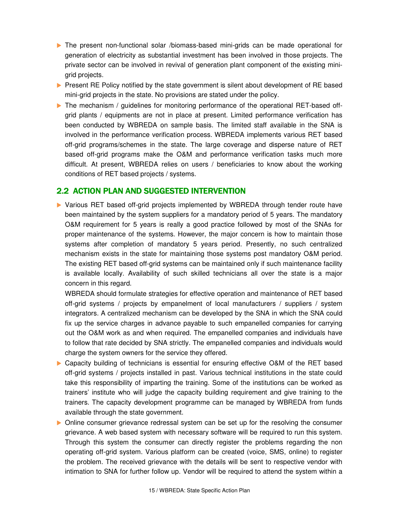- The present non-functional solar /biomass-based mini-grids can be made operational for generation of electricity as substantial investment has been involved in those projects. The private sector can be involved in revival of generation plant component of the existing minigrid projects.
- **Present RE Policy notified by the state government is silent about development of RE based** mini-grid projects in the state. No provisions are stated under the policy.
- The mechanism / guidelines for monitoring performance of the operational RET-based offgrid plants / equipments are not in place at present. Limited performance verification has been conducted by WBREDA on sample basis. The limited staff available in the SNA is involved in the performance verification process. WBREDA implements various RET based off-grid programs/schemes in the state. The large coverage and disperse nature of RET based off-grid programs make the O&M and performance verification tasks much more difficult. At present, WBREDA relies on users / beneficiaries to know about the working conditions of RET based projects / systems.

## 2.2 ACTION PLAN AND SUGGESTED INTERVENTION

 Various RET based off-grid projects implemented by WBREDA through tender route have been maintained by the system suppliers for a mandatory period of 5 years. The mandatory O&M requirement for 5 years is really a good practice followed by most of the SNAs for proper maintenance of the systems. However, the major concern is how to maintain those systems after completion of mandatory 5 years period. Presently, no such centralized mechanism exists in the state for maintaining those systems post mandatory O&M period. The existing RET based off-grid systems can be maintained only if such maintenance facility is available locally. Availability of such skilled technicians all over the state is a major concern in this regard.

WBREDA should formulate strategies for effective operation and maintenance of RET based off-grid systems / projects by empanelment of local manufacturers / suppliers / system integrators. A centralized mechanism can be developed by the SNA in which the SNA could fix up the service charges in advance payable to such empanelled companies for carrying out the O&M work as and when required. The empanelled companies and individuals have to follow that rate decided by SNA strictly. The empanelled companies and individuals would charge the system owners for the service they offered.

- ▶ Capacity building of technicians is essential for ensuring effective O&M of the RET based off-grid systems / projects installed in past. Various technical institutions in the state could take this responsibility of imparting the training. Some of the institutions can be worked as trainers' institute who will judge the capacity building requirement and give training to the trainers. The capacity development programme can be managed by WBREDA from funds available through the state government.
- **Online consumer grievance redressal system can be set up for the resolving the consumer** grievance. A web based system with necessary software will be required to run this system. Through this system the consumer can directly register the problems regarding the non operating off-grid system. Various platform can be created (voice, SMS, online) to register the problem. The received grievance with the details will be sent to respective vendor with intimation to SNA for further follow up. Vendor will be required to attend the system within a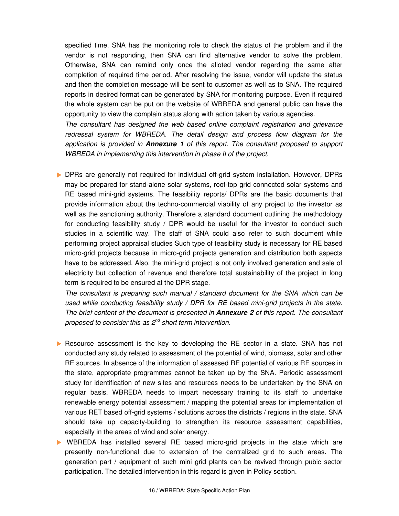specified time. SNA has the monitoring role to check the status of the problem and if the vendor is not responding, then SNA can find alternative vendor to solve the problem. Otherwise, SNA can remind only once the alloted vendor regarding the same after completion of required time period. After resolving the issue, vendor will update the status and then the completion message will be sent to customer as well as to SNA. The required reports in desired format can be generated by SNA for monitoring purpose. Even if required the whole system can be put on the website of WBREDA and general public can have the opportunity to view the complain status along with action taken by various agencies.

The consultant has designed the web based online complaint registration and grievance redressal system for WBREDA. The detail design and process flow diagram for the application is provided in **Annexure 1** of this report. The consultant proposed to support WBREDA in implementing this intervention in phase II of the project.

 DPRs are generally not required for individual off-grid system installation. However, DPRs may be prepared for stand-alone solar systems, roof-top grid connected solar systems and RE based mini-grid systems. The feasibility reports/ DPRs are the basic documents that provide information about the techno-commercial viability of any project to the investor as well as the sanctioning authority. Therefore a standard document outlining the methodology for conducting feasibility study / DPR would be useful for the investor to conduct such studies in a scientific way. The staff of SNA could also refer to such document while performing project appraisal studies Such type of feasibility study is necessary for RE based micro-grid projects because in micro-grid projects generation and distribution both aspects have to be addressed. Also, the mini-grid project is not only involved generation and sale of electricity but collection of revenue and therefore total sustainability of the project in long term is required to be ensured at the DPR stage.

The consultant is preparing such manual / standard document for the SNA which can be used while conducting feasibility study / DPR for RE based mini-grid projects in the state. The brief content of the document is presented in **Annexure 2** of this report. The consultant proposed to consider this as  $2^{nd}$  short term intervention.

- **Resource assessment is the key to developing the RE sector in a state. SNA has not** conducted any study related to assessment of the potential of wind, biomass, solar and other RE sources. In absence of the information of assessed RE potential of various RE sources in the state, appropriate programmes cannot be taken up by the SNA. Periodic assessment study for identification of new sites and resources needs to be undertaken by the SNA on regular basis. WBREDA needs to impart necessary training to its staff to undertake renewable energy potential assessment / mapping the potential areas for implementation of various RET based off-grid systems / solutions across the districts / regions in the state. SNA should take up capacity-building to strengthen its resource assessment capabilities, especially in the areas of wind and solar energy.
- WBREDA has installed several RE based micro-grid projects in the state which are presently non-functional due to extension of the centralized grid to such areas. The generation part / equipment of such mini grid plants can be revived through pubic sector participation. The detailed intervention in this regard is given in Policy section.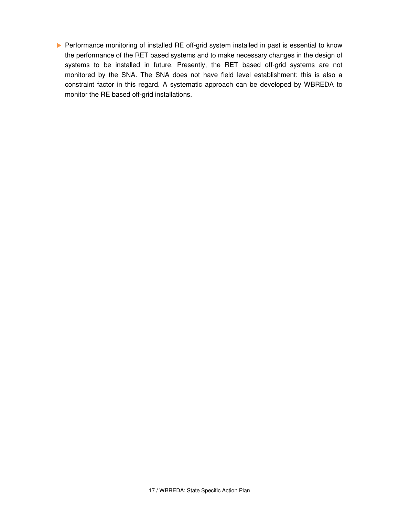Performance monitoring of installed RE off-grid system installed in past is essential to know the performance of the RET based systems and to make necessary changes in the design of systems to be installed in future. Presently, the RET based off-grid systems are not monitored by the SNA. The SNA does not have field level establishment; this is also a constraint factor in this regard. A systematic approach can be developed by WBREDA to monitor the RE based off-grid installations.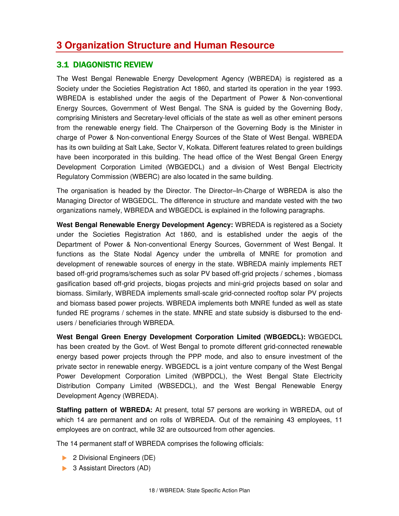## **3.1 DIAGONISTIC REVIEW**

The West Bengal Renewable Energy Development Agency (WBREDA) is registered as a Society under the Societies Registration Act 1860, and started its operation in the year 1993. WBREDA is established under the aegis of the Department of Power & Non-conventional Energy Sources, Government of West Bengal. The SNA is guided by the Governing Body, comprising Ministers and Secretary-level officials of the state as well as other eminent persons from the renewable energy field. The Chairperson of the Governing Body is the Minister in charge of Power & Non-conventional Energy Sources of the State of West Bengal. WBREDA has its own building at Salt Lake, Sector V, Kolkata. Different features related to green buildings have been incorporated in this building. The head office of the West Bengal Green Energy Development Corporation Limited (WBGEDCL) and a division of West Bengal Electricity Regulatory Commission (WBERC) are also located in the same building.

The organisation is headed by the Director. The Director–In-Charge of WBREDA is also the Managing Director of WBGEDCL. The difference in structure and mandate vested with the two organizations namely, WBREDA and WBGEDCL is explained in the following paragraphs.

**West Bengal Renewable Energy Development Agency:** WBREDA is registered as a Society under the Societies Registration Act 1860, and is established under the aegis of the Department of Power & Non-conventional Energy Sources, Government of West Bengal. It functions as the State Nodal Agency under the umbrella of MNRE for promotion and development of renewable sources of energy in the state. WBREDA mainly implements RET based off-grid programs/schemes such as solar PV based off-grid projects / schemes , biomass gasification based off-grid projects, biogas projects and mini-grid projects based on solar and biomass. Similarly, WBREDA implements small-scale grid-connected rooftop solar PV projects and biomass based power projects. WBREDA implements both MNRE funded as well as state funded RE programs / schemes in the state. MNRE and state subsidy is disbursed to the endusers / beneficiaries through WBREDA.

**West Bengal Green Energy Development Corporation Limited (WBGEDCL):** WBGEDCL has been created by the Govt. of West Bengal to promote different grid-connected renewable energy based power projects through the PPP mode, and also to ensure investment of the private sector in renewable energy. WBGEDCL is a joint venture company of the West Bengal Power Development Corporation Limited (WBPDCL), the West Bengal State Electricity Distribution Company Limited (WBSEDCL), and the West Bengal Renewable Energy Development Agency (WBREDA).

**Staffing pattern of WBREDA:** At present, total 57 persons are working in WBREDA, out of which 14 are permanent and on rolls of WBREDA. Out of the remaining 43 employees, 11 employees are on contract, while 32 are outsourced from other agencies.

The 14 permanent staff of WBREDA comprises the following officials:

- ▶ 2 Divisional Engineers (DE)
- **3 Assistant Directors (AD)**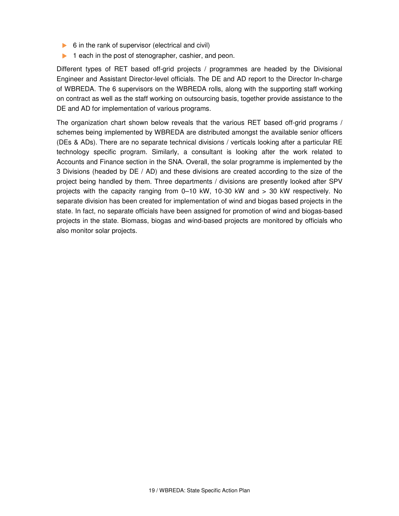- $\triangleright$  6 in the rank of supervisor (electrical and civil)
- $\blacktriangleright$  1 each in the post of stenographer, cashier, and peon.

Different types of RET based off-grid projects / programmes are headed by the Divisional Engineer and Assistant Director-level officials. The DE and AD report to the Director In-charge of WBREDA. The 6 supervisors on the WBREDA rolls, along with the supporting staff working on contract as well as the staff working on outsourcing basis, together provide assistance to the DE and AD for implementation of various programs.

The organization chart shown below reveals that the various RET based off-grid programs / schemes being implemented by WBREDA are distributed amongst the available senior officers (DEs & ADs). There are no separate technical divisions / verticals looking after a particular RE technology specific program. Similarly, a consultant is looking after the work related to Accounts and Finance section in the SNA. Overall, the solar programme is implemented by the 3 Divisions (headed by DE / AD) and these divisions are created according to the size of the project being handled by them. Three departments / divisions are presently looked after SPV projects with the capacity ranging from 0–10 kW, 10-30 kW and > 30 kW respectively. No separate division has been created for implementation of wind and biogas based projects in the state. In fact, no separate officials have been assigned for promotion of wind and biogas-based projects in the state. Biomass, biogas and wind-based projects are monitored by officials who also monitor solar projects.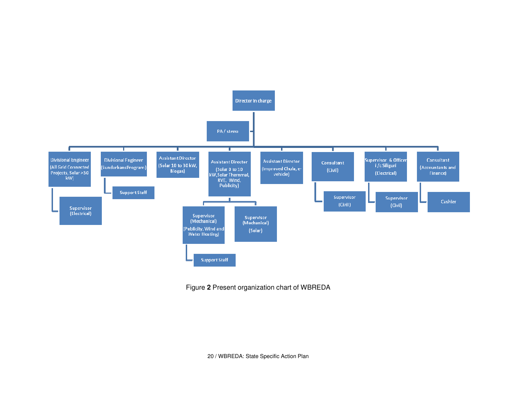

Figure **2** Present organization chart of WBREDA

20 / WBREDA: State Specific Action Plan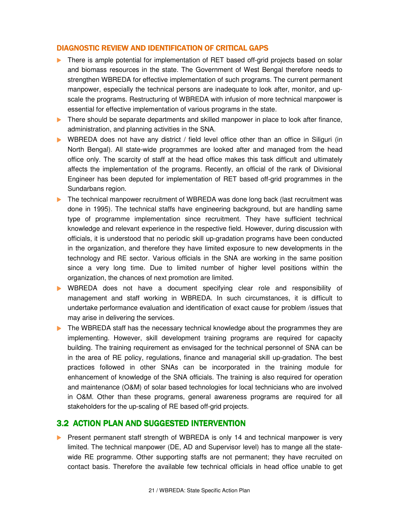#### DIAGNOSTIC REVIEW AND IDENTIFICATION OF CRITICAL GAPS

- There is ample potential for implementation of RET based off-grid projects based on solar and biomass resources in the state. The Government of West Bengal therefore needs to strengthen WBREDA for effective implementation of such programs. The current permanent manpower, especially the technical persons are inadequate to look after, monitor, and upscale the programs. Restructuring of WBREDA with infusion of more technical manpower is essential for effective implementation of various programs in the state.
- There should be separate departments and skilled manpower in place to look after finance, administration, and planning activities in the SNA.
- WBREDA does not have any district / field level office other than an office in Siliguri (in North Bengal). All state-wide programmes are looked after and managed from the head office only. The scarcity of staff at the head office makes this task difficult and ultimately affects the implementation of the programs. Recently, an official of the rank of Divisional Engineer has been deputed for implementation of RET based off-grid programmes in the Sundarbans region.
- The technical manpower recruitment of WBREDA was done long back (last recruitment was done in 1995). The technical staffs have engineering background, but are handling same type of programme implementation since recruitment. They have sufficient technical knowledge and relevant experience in the respective field. However, during discussion with officials, it is understood that no periodic skill up-gradation programs have been conducted in the organization, and therefore they have limited exposure to new developments in the technology and RE sector. Various officials in the SNA are working in the same position since a very long time. Due to limited number of higher level positions within the organization, the chances of next promotion are limited.
- WBREDA does not have a document specifying clear role and responsibility of management and staff working in WBREDA. In such circumstances, it is difficult to undertake performance evaluation and identification of exact cause for problem /issues that may arise in delivering the services.
- The WBREDA staff has the necessary technical knowledge about the programmes they are implementing. However, skill development training programs are required for capacity building. The training requirement as envisaged for the technical personnel of SNA can be in the area of RE policy, regulations, finance and managerial skill up-gradation. The best practices followed in other SNAs can be incorporated in the training module for enhancement of knowledge of the SNA officials. The training is also required for operation and maintenance (O&M) of solar based technologies for local technicians who are involved in O&M. Other than these programs, general awareness programs are required for all stakeholders for the up-scaling of RE based off-grid projects.

#### 3.2 ACTION PLAN AND SUGGESTED INTERVENTION

**Present permanent staff strength of WBREDA is only 14 and technical manpower is very** limited. The technical manpower (DE, AD and Supervisor level) has to mange all the statewide RE programme. Other supporting staffs are not permanent; they have recruited on contact basis. Therefore the available few technical officials in head office unable to get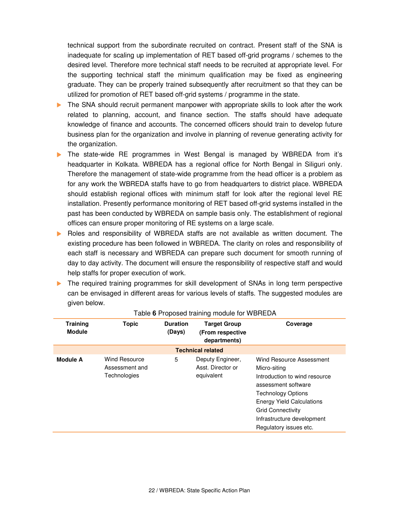technical support from the subordinate recruited on contract. Present staff of the SNA is inadequate for scaling up implementation of RET based off-grid programs / schemes to the desired level. Therefore more technical staff needs to be recruited at appropriate level. For the supporting technical staff the minimum qualification may be fixed as engineering graduate. They can be properly trained subsequently after recruitment so that they can be utilized for promotion of RET based off-grid systems / programme in the state.

- The SNA should recruit permanent manpower with appropriate skills to look after the work related to planning, account, and finance section. The staffs should have adequate knowledge of finance and accounts. The concerned officers should train to develop future business plan for the organization and involve in planning of revenue generating activity for the organization.
- The state-wide RE programmes in West Bengal is managed by WBREDA from it's headquarter in Kolkata. WBREDA has a regional office for North Bengal in Siliguri only. Therefore the management of state-wide programme from the head officer is a problem as for any work the WBREDA staffs have to go from headquarters to district place. WBREDA should establish regional offices with minimum staff for look after the regional level RE installation. Presently performance monitoring of RET based off-grid systems installed in the past has been conducted by WBREDA on sample basis only. The establishment of regional offices can ensure proper monitoring of RE systems on a large scale.
- Roles and responsibility of WBREDA staffs are not available as written document. The existing procedure has been followed in WBREDA. The clarity on roles and responsibility of each staff is necessary and WBREDA can prepare such document for smooth running of day to day activity. The document will ensure the responsibility of respective staff and would help staffs for proper execution of work.
- The required training programmes for skill development of SNAs in long term perspective can be envisaged in different areas for various levels of staffs. The suggested modules are given below.

| <b>Training</b><br><b>Module</b> | <b>Topic</b>                                           | <b>Duration</b><br>(Days) | <b>Target Group</b><br>(From respective<br>departments) | Coverage                                                                                                                                                                                                                                              |
|----------------------------------|--------------------------------------------------------|---------------------------|---------------------------------------------------------|-------------------------------------------------------------------------------------------------------------------------------------------------------------------------------------------------------------------------------------------------------|
|                                  |                                                        |                           | <b>Technical related</b>                                |                                                                                                                                                                                                                                                       |
| <b>Module A</b>                  | <b>Wind Resource</b><br>Assessment and<br>Technologies | 5                         | Deputy Engineer,<br>Asst. Director or<br>equivalent     | Wind Resource Assessment<br>Micro-siting<br>Introduction to wind resource<br>assessment software<br><b>Technology Options</b><br><b>Energy Yield Calculations</b><br><b>Grid Connectivity</b><br>Infrastructure development<br>Regulatory issues etc. |

#### Table **6** Proposed training module for WBREDA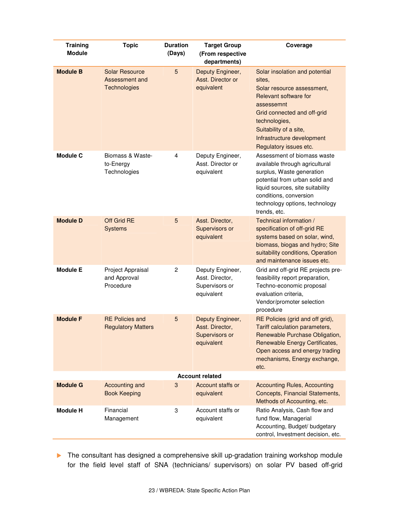| <b>Training</b><br><b>Module</b> | <b>Topic</b>                                            | <b>Duration</b><br>(Days) | <b>Target Group</b><br>(From respective<br>departments)             | Coverage                                                                                                                                                                                                                                        |
|----------------------------------|---------------------------------------------------------|---------------------------|---------------------------------------------------------------------|-------------------------------------------------------------------------------------------------------------------------------------------------------------------------------------------------------------------------------------------------|
| <b>Module B</b>                  | <b>Solar Resource</b><br>Assessment and<br>Technologies | 5                         | Deputy Engineer,<br>Asst. Director or<br>equivalent                 | Solar insolation and potential<br>sites.<br>Solar resource assessment,<br>Relevant software for<br>assessemnt<br>Grid connected and off-grid<br>technologies,<br>Suitability of a site,<br>Infrastructure development<br>Regulatory issues etc. |
| <b>Module C</b>                  | Biomass & Waste-<br>to-Energy<br>Technologies           | 4                         | Deputy Engineer,<br>Asst. Director or<br>equivalent                 | Assessment of biomass waste<br>available through agricultural<br>surplus, Waste generation<br>potential from urban solid and<br>liquid sources, site suitability<br>conditions, conversion<br>technology options, technology<br>trends, etc.    |
| <b>Module D</b>                  | Off Grid RE<br><b>Systems</b>                           | 5                         | Asst. Director,<br>Supervisors or<br>equivalent                     | Technical information /<br>specification of off-grid RE<br>systems based on solar, wind,<br>biomass, biogas and hydro; Site<br>suitability conditions, Operation<br>and maintenance issues etc.                                                 |
| <b>Module E</b>                  | Project Appraisal<br>and Approval<br>Procedure          | $\overline{2}$            | Deputy Engineer,<br>Asst. Director,<br>Supervisors or<br>equivalent | Grid and off-grid RE projects pre-<br>feasibility report preparation,<br>Techno-economic proposal<br>evaluation criteria,<br>Vendor/promoter selection<br>procedure                                                                             |
| <b>Module F</b>                  | <b>RE Policies and</b><br><b>Regulatory Matters</b>     | 5                         | Deputy Engineer,<br>Asst. Director.<br>Supervisors or<br>equivalent | RE Policies (grid and off grid),<br>Tariff calculation parameters,<br>Renewable Purchase Obligation,<br>Renewable Energy Certificates,<br>Open access and energy trading<br>mechanisms, Energy exchange,<br>etc.                                |
|                                  |                                                         |                           | <b>Account related</b>                                              |                                                                                                                                                                                                                                                 |
| <b>Module G</b>                  | Accounting and<br><b>Book Keeping</b>                   | $\mathbf{3}$              | Account staffs or<br>equivalent                                     | <b>Accounting Rules, Accounting</b><br>Concepts, Financial Statements,<br>Methods of Accounting, etc.                                                                                                                                           |
| <b>Module H</b>                  | Financial<br>Management                                 | 3                         | Account staffs or<br>equivalent                                     | Ratio Analysis, Cash flow and<br>fund flow, Managerial<br>Accounting, Budget/ budgetary<br>control, Investment decision, etc.                                                                                                                   |

The consultant has designed a comprehensive skill up-gradation training workshop module for the field level staff of SNA (technicians/ supervisors) on solar PV based off-grid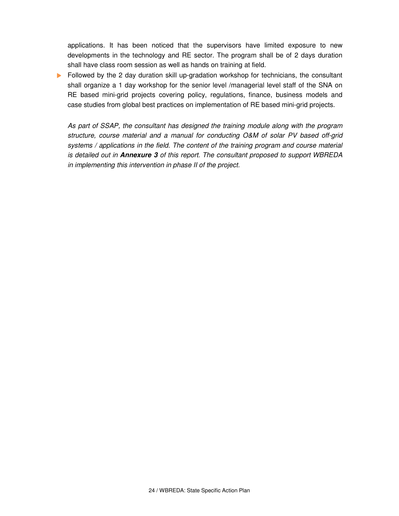applications. It has been noticed that the supervisors have limited exposure to new developments in the technology and RE sector. The program shall be of 2 days duration shall have class room session as well as hands on training at field.

Followed by the 2 day duration skill up-gradation workshop for technicians, the consultant shall organize a 1 day workshop for the senior level /managerial level staff of the SNA on RE based mini-grid projects covering policy, regulations, finance, business models and case studies from global best practices on implementation of RE based mini-grid projects.

As part of SSAP, the consultant has designed the training module along with the program structure, course material and a manual for conducting O&M of solar PV based off-grid systems / applications in the field. The content of the training program and course material is detailed out in **Annexure 3** of this report. The consultant proposed to support WBREDA in implementing this intervention in phase II of the project.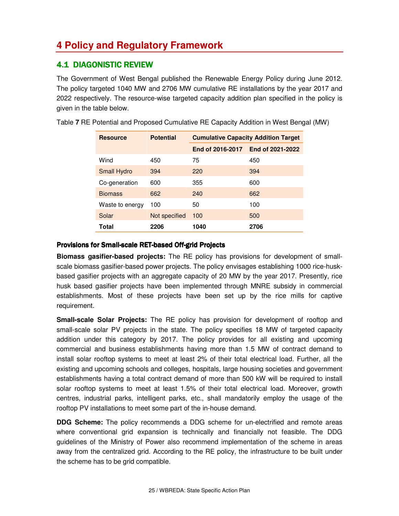## **4 Policy and Regulatory Framework**

## **4.1 DIAGONISTIC REVIEW**

The Government of West Bengal published the Renewable Energy Policy during June 2012. The policy targeted 1040 MW and 2706 MW cumulative RE installations by the year 2017 and 2022 respectively. The resource-wise targeted capacity addition plan specified in the policy is given in the table below.

| <b>Resource</b> | <b>Potential</b> | <b>Cumulative Capacity Addition Target</b> |                  |  |
|-----------------|------------------|--------------------------------------------|------------------|--|
|                 |                  | End of 2016-2017                           | End of 2021-2022 |  |
| Wind            | 450              | 75                                         | 450              |  |
| Small Hydro     | 394              | 220                                        | 394              |  |
| Co-generation   | 600              | 355                                        | 600              |  |
| <b>Biomass</b>  | 662              | 240                                        | 662              |  |
| Waste to energy | 100              | 50                                         | 100              |  |
| Solar           | Not specified    | 100                                        | 500              |  |
| Total           | 2206             | 1040                                       | 2706             |  |

Table **7** RE Potential and Proposed Cumulative RE Capacity Addition in West Bengal (MW)

#### Provisions for Small-scale RET-based Off-grid Projects

**Biomass gasifier-based projects:** The RE policy has provisions for development of smallscale biomass gasifier-based power projects. The policy envisages establishing 1000 rice-huskbased gasifier projects with an aggregate capacity of 20 MW by the year 2017. Presently, rice husk based gasifier projects have been implemented through MNRE subsidy in commercial establishments. Most of these projects have been set up by the rice mills for captive requirement.

**Small-scale Solar Projects:** The RE policy has provision for development of rooftop and small-scale solar PV projects in the state. The policy specifies 18 MW of targeted capacity addition under this category by 2017. The policy provides for all existing and upcoming commercial and business establishments having more than 1.5 MW of contract demand to install solar rooftop systems to meet at least 2% of their total electrical load. Further, all the existing and upcoming schools and colleges, hospitals, large housing societies and government establishments having a total contract demand of more than 500 kW will be required to install solar rooftop systems to meet at least 1.5% of their total electrical load. Moreover, growth centres, industrial parks, intelligent parks, etc., shall mandatorily employ the usage of the rooftop PV installations to meet some part of the in-house demand.

**DDG Scheme:** The policy recommends a DDG scheme for un-electrified and remote areas where conventional grid expansion is technically and financially not feasible. The DDG guidelines of the Ministry of Power also recommend implementation of the scheme in areas away from the centralized grid. According to the RE policy, the infrastructure to be built under the scheme has to be grid compatible.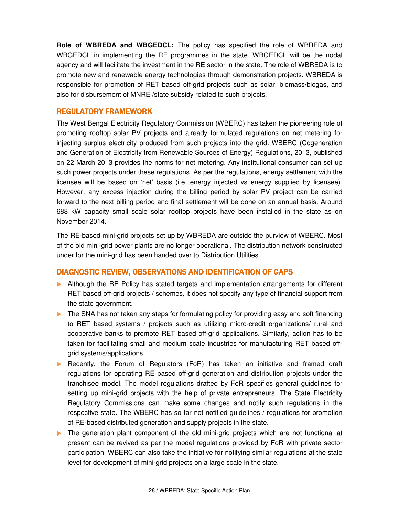**Role of WBREDA and WBGEDCL:** The policy has specified the role of WBREDA and WBGEDCL in implementing the RE programmes in the state. WBGEDCL will be the nodal agency and will facilitate the investment in the RE sector in the state. The role of WBREDA is to promote new and renewable energy technologies through demonstration projects. WBREDA is responsible for promotion of RET based off-grid projects such as solar, biomass/biogas, and also for disbursement of MNRE /state subsidy related to such projects.

#### REGULATORY FRAMEWORK

The West Bengal Electricity Regulatory Commission (WBERC) has taken the pioneering role of promoting rooftop solar PV projects and already formulated regulations on net metering for injecting surplus electricity produced from such projects into the grid. WBERC (Cogeneration and Generation of Electricity from Renewable Sources of Energy) Regulations, 2013, published on 22 March 2013 provides the norms for net metering. Any institutional consumer can set up such power projects under these regulations. As per the regulations, energy settlement with the licensee will be based on 'net' basis (i.e. energy injected vs energy supplied by licensee). However, any excess injection during the billing period by solar PV project can be carried forward to the next billing period and final settlement will be done on an annual basis. Around 688 kW capacity small scale solar rooftop projects have been installed in the state as on November 2014.

The RE-based mini-grid projects set up by WBREDA are outside the purview of WBERC. Most of the old mini-grid power plants are no longer operational. The distribution network constructed under for the mini-grid has been handed over to Distribution Utilities.

#### DIAGNOSTIC REVIEW, OBSERVATIONS AND IDENTIFICATION OF GAPS

- **Although the RE Policy has stated targets and implementation arrangements for different** RET based off-grid projects / schemes, it does not specify any type of financial support from the state government.
- The SNA has not taken any steps for formulating policy for providing easy and soft financing to RET based systems / projects such as utilizing micro-credit organizations/ rural and cooperative banks to promote RET based off-grid applications. Similarly, action has to be taken for facilitating small and medium scale industries for manufacturing RET based offgrid systems/applications.
- Recently, the Forum of Regulators (FoR) has taken an initiative and framed draft regulations for operating RE based off-grid generation and distribution projects under the franchisee model. The model regulations drafted by FoR specifies general guidelines for setting up mini-grid projects with the help of private entrepreneurs. The State Electricity Regulatory Commissions can make some changes and notify such regulations in the respective state. The WBERC has so far not notified guidelines / regulations for promotion of RE-based distributed generation and supply projects in the state.
- The generation plant component of the old mini-grid projects which are not functional at present can be revived as per the model regulations provided by FoR with private sector participation. WBERC can also take the initiative for notifying similar regulations at the state level for development of mini-grid projects on a large scale in the state.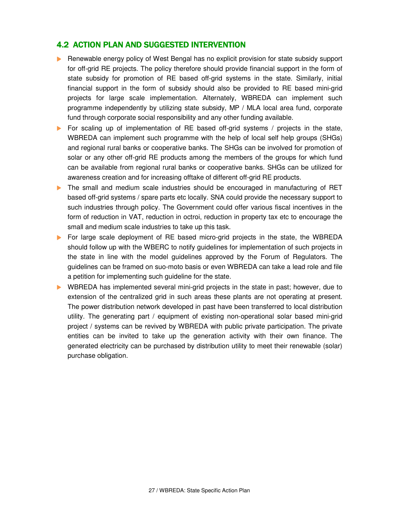## 4.2 ACTION PLAN AND SUGGESTED INTERVENTION

- Renewable energy policy of West Bengal has no explicit provision for state subsidy support for off-grid RE projects. The policy therefore should provide financial support in the form of state subsidy for promotion of RE based off-grid systems in the state. Similarly, initial financial support in the form of subsidy should also be provided to RE based mini-grid projects for large scale implementation. Alternately, WBREDA can implement such programme independently by utilizing state subsidy, MP / MLA local area fund, corporate fund through corporate social responsibility and any other funding available.
- For scaling up of implementation of RE based off-grid systems  $\ell$  projects in the state, WBREDA can implement such programme with the help of local self help groups (SHGs) and regional rural banks or cooperative banks. The SHGs can be involved for promotion of solar or any other off-grid RE products among the members of the groups for which fund can be available from regional rural banks or cooperative banks. SHGs can be utilized for awareness creation and for increasing offtake of different off-grid RE products.
- The small and medium scale industries should be encouraged in manufacturing of RET based off-grid systems / spare parts etc locally. SNA could provide the necessary support to such industries through policy. The Government could offer various fiscal incentives in the form of reduction in VAT, reduction in octroi, reduction in property tax etc to encourage the small and medium scale industries to take up this task.
- For large scale deployment of RE based micro-grid projects in the state, the WBREDA should follow up with the WBERC to notify guidelines for implementation of such projects in the state in line with the model guidelines approved by the Forum of Regulators. The guidelines can be framed on suo-moto basis or even WBREDA can take a lead role and file a petition for implementing such guideline for the state.
- WBREDA has implemented several mini-grid projects in the state in past; however, due to extension of the centralized grid in such areas these plants are not operating at present. The power distribution network developed in past have been transferred to local distribution utility. The generating part / equipment of existing non-operational solar based mini-grid project / systems can be revived by WBREDA with public private participation. The private entities can be invited to take up the generation activity with their own finance. The generated electricity can be purchased by distribution utility to meet their renewable (solar) purchase obligation.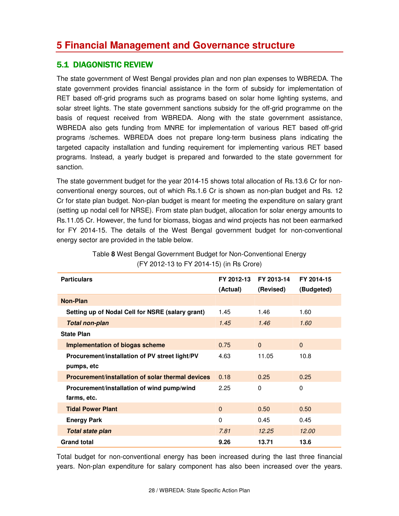## **5 Financial Management and Governance structure**

## **5.1 DIAGONISTIC REVIEW**

The state government of West Bengal provides plan and non plan expenses to WBREDA. The state government provides financial assistance in the form of subsidy for implementation of RET based off-grid programs such as programs based on solar home lighting systems, and solar street lights. The state government sanctions subsidy for the off-grid programme on the basis of request received from WBREDA. Along with the state government assistance, WBREDA also gets funding from MNRE for implementation of various RET based off-grid programs /schemes. WBREDA does not prepare long-term business plans indicating the targeted capacity installation and funding requirement for implementing various RET based programs. Instead, a yearly budget is prepared and forwarded to the state government for sanction.

The state government budget for the year 2014-15 shows total allocation of Rs.13.6 Cr for nonconventional energy sources, out of which Rs.1.6 Cr is shown as non-plan budget and Rs. 12 Cr for state plan budget. Non-plan budget is meant for meeting the expenditure on salary grant (setting up nodal cell for NRSE). From state plan budget, allocation for solar energy amounts to Rs.11.05 Cr. However, the fund for biomass, biogas and wind projects has not been earmarked for FY 2014-15. The details of the West Bengal government budget for non-conventional energy sector are provided in the table below.

| <b>Particulars</b>                                | FY 2012-13<br>(Actual) | FY 2013-14<br>(Revised) | FY 2014-15<br>(Budgeted) |
|---------------------------------------------------|------------------------|-------------------------|--------------------------|
| <b>Non-Plan</b>                                   |                        |                         |                          |
| Setting up of Nodal Cell for NSRE (salary grant)  | 1.45                   | 1.46                    | 1.60                     |
| <b>Total non-plan</b>                             | 1.45                   | 1.46                    | 1.60                     |
| <b>State Plan</b>                                 |                        |                         |                          |
| <b>Implementation of biogas scheme</b>            | 0.75                   | $\Omega$                | $\Omega$                 |
| Procurement/installation of PV street light/PV    | 4.63                   | 11.05                   | 10.8                     |
| pumps, etc                                        |                        |                         |                          |
| Procurement/installation of solar thermal devices | 0.18                   | 0.25                    | 0.25                     |
| Procurement/installation of wind pump/wind        | 2.25                   | $\Omega$                | $\Omega$                 |
| farms, etc.                                       |                        |                         |                          |
| <b>Tidal Power Plant</b>                          | $\Omega$               | 0.50                    | 0.50                     |
| <b>Energy Park</b>                                | $\Omega$               | 0.45                    | 0.45                     |
| <b>Total state plan</b>                           | 7.81                   | 12.25                   | 12.00                    |
| <b>Grand total</b>                                | 9.26                   | 13.71                   | 13.6                     |

Table **8** West Bengal Government Budget for Non-Conventional Energy (FY 2012-13 to FY 2014-15) (in Rs Crore)

Total budget for non-conventional energy has been increased during the last three financial years. Non-plan expenditure for salary component has also been increased over the years.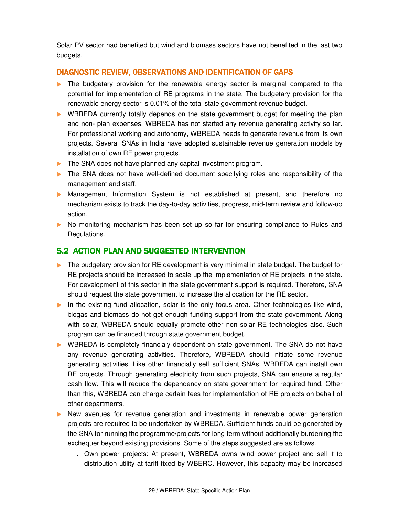Solar PV sector had benefited but wind and biomass sectors have not benefited in the last two budgets.

#### DIAGNOSTIC REVIEW, OBSERVATIONS AND IDENTIFICATION OF GAPS

- The budgetary provision for the renewable energy sector is marginal compared to the potential for implementation of RE programs in the state. The budgetary provision for the renewable energy sector is 0.01% of the total state government revenue budget.
- WBREDA currently totally depends on the state government budget for meeting the plan and non- plan expenses. WBREDA has not started any revenue generating activity so far. For professional working and autonomy, WBREDA needs to generate revenue from its own projects. Several SNAs in India have adopted sustainable revenue generation models by installation of own RE power projects.
- The SNA does not have planned any capital investment program.
- The SNA does not have well-defined document specifying roles and responsibility of the management and staff.
- Management Information System is not established at present, and therefore no mechanism exists to track the day-to-day activities, progress, mid-term review and follow-up action.
- No monitoring mechanism has been set up so far for ensuring compliance to Rules and Regulations.

## 5.2 ACTION PLAN AND SUGGESTED INTERVENTION

- The budgetary provision for RE development is very minimal in state budget. The budget for RE projects should be increased to scale up the implementation of RE projects in the state. For development of this sector in the state government support is required. Therefore, SNA should request the state government to increase the allocation for the RE sector.
- In the existing fund allocation, solar is the only focus area. Other technologies like wind, biogas and biomass do not get enough funding support from the state government. Along with solar, WBREDA should equally promote other non solar RE technologies also. Such program can be financed through state government budget.
- WBREDA is completely financialy dependent on state government. The SNA do not have any revenue generating activities. Therefore, WBREDA should initiate some revenue generating activities. Like other financially self sufficient SNAs, WBREDA can install own RE projects. Through generating electricity from such projects, SNA can ensure a regular cash flow. This will reduce the dependency on state government for required fund. Other than this, WBREDA can charge certain fees for implementation of RE projects on behalf of other departments.
- New avenues for revenue generation and investments in renewable power generation projects are required to be undertaken by WBREDA. Sufficient funds could be generated by the SNA for running the programme/projects for long term without additionally burdening the exchequer beyond existing provisions. Some of the steps suggested are as follows.
	- i. Own power projects: At present, WBREDA owns wind power project and sell it to distribution utility at tariff fixed by WBERC. However, this capacity may be increased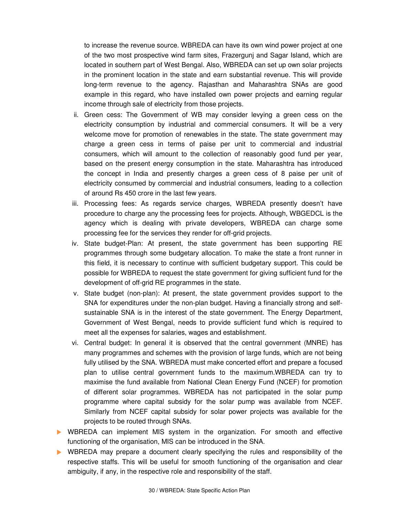to increase the revenue source. WBREDA can have its own wind power project at one of the two most prospective wind farm sites, Frazergunj and Sagar Island, which are located in southern part of West Bengal. Also, WBREDA can set up own solar projects in the prominent location in the state and earn substantial revenue. This will provide long-term revenue to the agency. Rajasthan and Maharashtra SNAs are good example in this regard, who have installed own power projects and earning regular income through sale of electricity from those projects.

- ii. Green cess: The Government of WB may consider levying a green cess on the electricity consumption by industrial and commercial consumers. It will be a very welcome move for promotion of renewables in the state. The state government may charge a green cess in terms of paise per unit to commercial and industrial consumers, which will amount to the collection of reasonably good fund per year, based on the present energy consumption in the state. Maharashtra has introduced the concept in India and presently charges a green cess of 8 paise per unit of electricity consumed by commercial and industrial consumers, leading to a collection of around Rs 450 crore in the last few years.
- iii. Processing fees: As regards service charges, WBREDA presently doesn't have procedure to charge any the processing fees for projects. Although, WBGEDCL is the agency which is dealing with private developers, WBREDA can charge some processing fee for the services they render for off-grid projects.
- iv. State budget-Plan: At present, the state government has been supporting RE programmes through some budgetary allocation. To make the state a front runner in this field, it is necessary to continue with sufficient budgetary support. This could be possible for WBREDA to request the state government for giving sufficient fund for the development of off-grid RE programmes in the state.
- v. State budget (non-plan): At present, the state government provides support to the SNA for expenditures under the non-plan budget. Having a financially strong and selfsustainable SNA is in the interest of the state government. The Energy Department, Government of West Bengal, needs to provide sufficient fund which is required to meet all the expenses for salaries, wages and establishment.
- vi. Central budget: In general it is observed that the central government (MNRE) has many programmes and schemes with the provision of large funds, which are not being fully utilised by the SNA. WBREDA must make concerted effort and prepare a focused plan to utilise central government funds to the maximum.WBREDA can try to maximise the fund available from National Clean Energy Fund (NCEF) for promotion of different solar programmes. WBREDA has not participated in the solar pump programme where capital subsidy for the solar pump was available from NCEF. Similarly from NCEF capital subsidy for solar power projects was available for the projects to be routed through SNAs.
- WBREDA can implement MIS system in the organization. For smooth and effective functioning of the organisation, MIS can be introduced in the SNA.
- WBREDA may prepare a document clearly specifying the rules and responsibility of the respective staffs. This will be useful for smooth functioning of the organisation and clear ambiguity, if any, in the respective role and responsibility of the staff.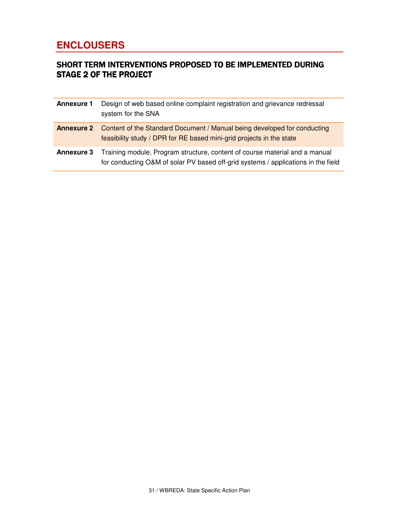## **ENCLOUSERS**

## SHORT TERM INTERVENTIONS PROPOSED TO BE IMPLEMENTED DURING **STAGE 2 OF THE PROJECT**

| <b>Annexure 1</b> | Design of web based online complaint registration and grievance redressal<br>system for the SNA                                                                    |
|-------------------|--------------------------------------------------------------------------------------------------------------------------------------------------------------------|
|                   | <b>Annexure 2</b> Content of the Standard Document / Manual being developed for conducting<br>feasibility study / DPR for RE based mini-grid projects in the state |
| <b>Annexure 3</b> | Training module, Program structure, content of course material and a manual<br>for conducting O&M of solar PV based off-grid systems / applications in the field   |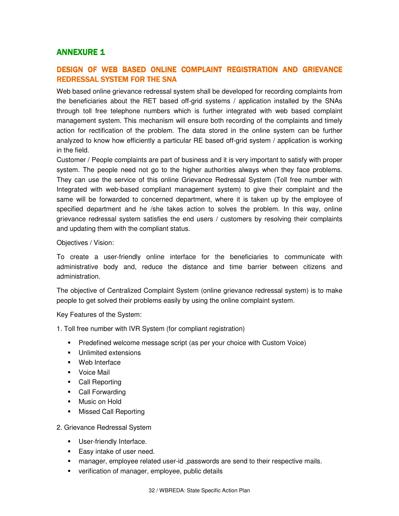#### **ANNEXURE 1**

### DESIGN OF WEB BASED ONLINE COMPLAINT REGISTRATION AND GRIEVANCE REDRESSAL SYSTEM FOR THE SNA

Web based online grievance redressal system shall be developed for recording complaints from the beneficiaries about the RET based off-grid systems / application installed by the SNAs through toll free telephone numbers which is further integrated with web based complaint management system. This mechanism will ensure both recording of the complaints and timely action for rectification of the problem. The data stored in the online system can be further analyzed to know how efficiently a particular RE based off-grid system / application is working in the field.

Customer / People complaints are part of business and it is very important to satisfy with proper system. The people need not go to the higher authorities always when they face problems. They can use the service of this online Grievance Redressal System (Toll free number with Integrated with web-based compliant management system) to give their complaint and the same will be forwarded to concerned department, where it is taken up by the employee of specified department and he /she takes action to solves the problem. In this way, online grievance redressal system satisfies the end users / customers by resolving their complaints and updating them with the compliant status.

#### Objectives / Vision:

To create a user-friendly online interface for the beneficiaries to communicate with administrative body and, reduce the distance and time barrier between citizens and administration.

The objective of Centralized Complaint System (online grievance redressal system) is to make people to get solved their problems easily by using the online complaint system.

Key Features of the System:

- 1. Toll free number with IVR System (for compliant registration)
	- **Predefined welcome message script (as per your choice with Custom Voice)**
	- **Unlimited extensions**
	- Web Interface
	- **v** Voice Mail
	- Call Reporting
	- Call Forwarding
	- **Music on Hold**
	- **Missed Call Reporting**

#### 2. Grievance Redressal System

- **User-friendly Interface.**
- **Easy intake of user need.**
- **nanager, employee related user-id , passwords are send to their respective mails.**
- **verification of manager, employee, public details**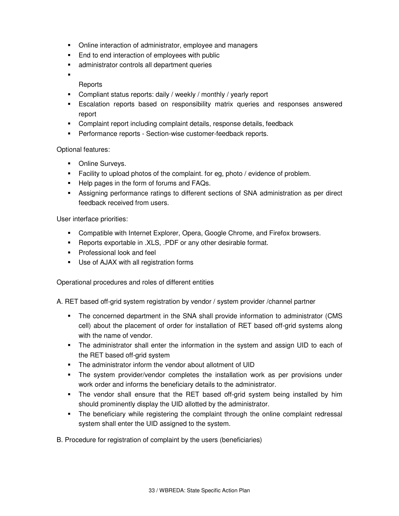- Online interaction of administrator, employee and managers
- **End to end interaction of employees with public**
- **administrator controls all department queries**
- ×,

#### Reports

- Compliant status reports: daily / weekly / monthly / yearly report
- Escalation reports based on responsibility matrix queries and responses answered report
- Complaint report including complaint details, response details, feedback
- **Performance reports Section-wise customer-feedback reports.**

#### Optional features:

- **•** Online Surveys.
- Facility to upload photos of the complaint. for eg, photo / evidence of problem.
- Help pages in the form of forums and FAQs.
- Assigning performance ratings to different sections of SNA administration as per direct feedback received from users.

#### User interface priorities:

- **Compatible with Internet Explorer, Opera, Google Chrome, and Firefox browsers.**
- **Reports exportable in .XLS, .PDF or any other desirable format.**
- **Professional look and feel**
- Use of AJAX with all registration forms

Operational procedures and roles of different entities

A. RET based off-grid system registration by vendor / system provider /channel partner

- The concerned department in the SNA shall provide information to administrator (CMS cell) about the placement of order for installation of RET based off-grid systems along with the name of vendor.
- The administrator shall enter the information in the system and assign UID to each of the RET based off-grid system
- The administrator inform the vendor about allotment of UID
- The system provider/vendor completes the installation work as per provisions under work order and informs the beneficiary details to the administrator.
- The vendor shall ensure that the RET based off-grid system being installed by him should prominently display the UID allotted by the administrator.
- The beneficiary while registering the complaint through the online complaint redressal system shall enter the UID assigned to the system.
- B. Procedure for registration of complaint by the users (beneficiaries)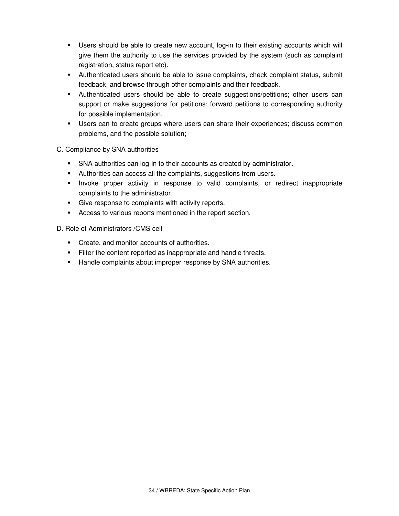- Users should be able to create new account, log-in to their existing accounts which will give them the authority to use the services provided by the system (such as complaint registration, status report etc).
- Authenticated users should be able to issue complaints, check complaint status, submit feedback, and browse through other complaints and their feedback.
- Authenticated users should be able to create suggestions/petitions; other users can support or make suggestions for petitions; forward petitions to corresponding authority for possible implementation.
- Users can to create groups where users can share their experiences; discuss common problems, and the possible solution;

C. Compliance by SNA authorities

- SNA authorities can log-in to their accounts as created by administrator.
- Authorities can access all the complaints, suggestions from users.
- Invoke proper activity in response to valid complaints, or redirect inappropriate complaints to the administrator.
- Give response to complaints with activity reports.
- Access to various reports mentioned in the report section.

D. Role of Administrators /CMS cell

- **Create, and monitor accounts of authorities.**
- Filter the content reported as inappropriate and handle threats.
- Handle complaints about improper response by SNA authorities.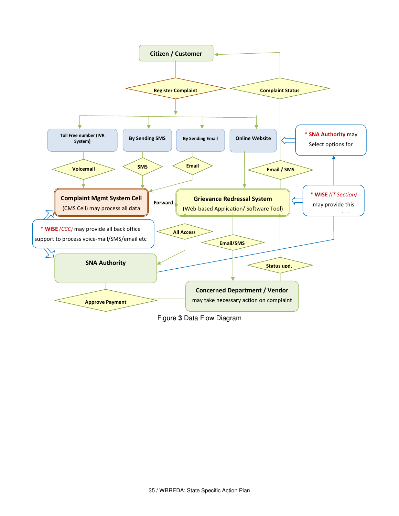

Figure **3** Data Flow Diagram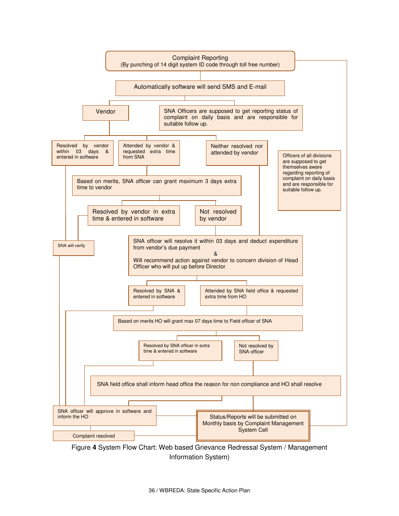

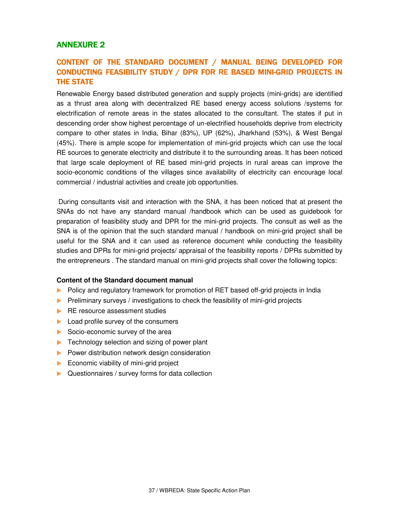## **ANNEXURE 2**

## CONTENT OF THE STANDARD DOCUMENT / MANUAL BEING DEVELOPED FOR CONDUCTING FEASIBILITY STUDY / DPR FOR RE BASED MINI-GRID PROJECTS IN **THE STATE**

Renewable Energy based distributed generation and supply projects (mini-grids) are identified as a thrust area along with decentralized RE based energy access solutions /systems for electrification of remote areas in the states allocated to the consultant. The states if put in descending order show highest percentage of un-electrified households deprive from electricity compare to other states in India, Bihar (83%), UP (62%), Jharkhand (53%), & West Bengal (45%). There is ample scope for implementation of mini-grid projects which can use the local RE sources to generate electricity and distribute it to the surrounding areas. It has been noticed that large scale deployment of RE based mini-grid projects in rural areas can improve the socio-economic conditions of the villages since availability of electricity can encourage local commercial / industrial activities and create job opportunities.

 During consultants visit and interaction with the SNA, it has been noticed that at present the SNAs do not have any standard manual /handbook which can be used as guidebook for preparation of feasibility study and DPR for the mini-grid projects. The consult as well as the SNA is of the opinion that the such standard manual / handbook on mini-grid project shall be useful for the SNA and it can used as reference document while conducting the feasibility studies and DPRs for mini-grid projects/ appraisal of the feasibility reports / DPRs submitted by the entrepreneurs . The standard manual on mini-grid projects shall cover the following topics:

#### **Content of the Standard document manual**

- Policy and regulatory framework for promotion of RET based off-grid projects in India
- **Preliminary surveys / investigations to check the feasibility of mini-grid projects**
- **RE resource assessment studies**
- **Load profile survey of the consumers**
- Socio-economic survey of the area
- $\blacktriangleright$  Technology selection and sizing of power plant
- $\blacktriangleright$  Power distribution network design consideration
- Economic viability of mini-grid project
- ▶ Questionnaires / survey forms for data collection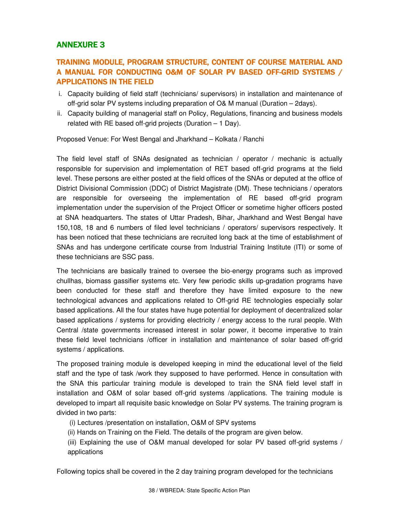## **ANNEXURE 3**

## TRAINING MODULE, PROGRAM STRUCTURE, CONTENT OF COURSE MATERIAL AND A MANUAL FOR CONDUCTING O&M OF SOLAR PV BASED OFF-GRID SYSTEMS / **APPLICATIONS IN THE FIELD**

- i. Capacity building of field staff (technicians/ supervisors) in installation and maintenance of off-grid solar PV systems including preparation of O& M manual (Duration – 2days).
- ii. Capacity building of managerial staff on Policy, Regulations, financing and business models related with RE based off-grid projects (Duration  $-1$  Day).

Proposed Venue: For West Bengal and Jharkhand – Kolkata / Ranchi

The field level staff of SNAs designated as technician / operator / mechanic is actually responsible for supervision and implementation of RET based off-grid programs at the field level. These persons are either posted at the field offices of the SNAs or deputed at the office of District Divisional Commission (DDC) of District Magistrate (DM). These technicians / operators are responsible for overseeing the implementation of RE based off-grid program implementation under the supervision of the Project Officer or sometime higher officers posted at SNA headquarters. The states of Uttar Pradesh, Bihar, Jharkhand and West Bengal have 150,108, 18 and 6 numbers of filed level technicians / operators/ supervisors respectively. It has been noticed that these technicians are recruited long back at the time of establishment of SNAs and has undergone certificate course from Industrial Training Institute (ITI) or some of these technicians are SSC pass.

The technicians are basically trained to oversee the bio-energy programs such as improved chullhas, biomass gassifier systems etc. Very few periodic skills up-gradation programs have been conducted for these staff and therefore they have limited exposure to the new technological advances and applications related to Off-grid RE technologies especially solar based applications. All the four states have huge potential for deployment of decentralized solar based applications / systems for providing electricity / energy access to the rural people. With Central /state governments increased interest in solar power, it become imperative to train these field level technicians /officer in installation and maintenance of solar based off-grid systems / applications.

The proposed training module is developed keeping in mind the educational level of the field staff and the type of task /work they supposed to have performed. Hence in consultation with the SNA this particular training module is developed to train the SNA field level staff in installation and O&M of solar based off-grid systems /applications. The training module is developed to impart all requisite basic knowledge on Solar PV systems. The training program is divided in two parts:

- (i) Lectures /presentation on installation, O&M of SPV systems
- (ii) Hands on Training on the Field. The details of the program are given below.
- (iii) Explaining the use of O&M manual developed for solar PV based off-grid systems / applications

Following topics shall be covered in the 2 day training program developed for the technicians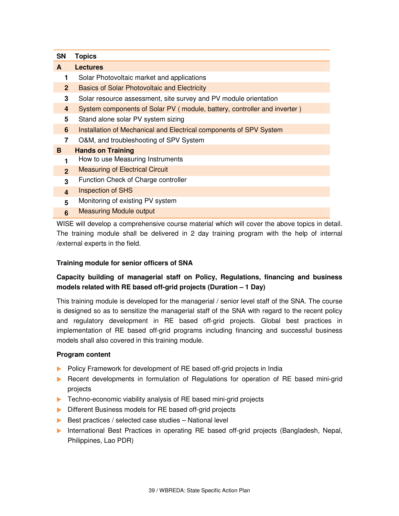| <b>SN</b>      | <b>Topics</b>                                                                             |
|----------------|-------------------------------------------------------------------------------------------|
| A              | <b>Lectures</b>                                                                           |
| 1              | Solar Photovoltaic market and applications                                                |
| $\mathbf{2}$   | <b>Basics of Solar Photovoltaic and Electricity</b>                                       |
| 3              | Solar resource assessment, site survey and PV module orientation                          |
| 4              | System components of Solar PV (module, battery, controller and inverter)                  |
| 5              | Stand alone solar PV system sizing                                                        |
| 6              | Installation of Mechanical and Electrical components of SPV System                        |
| $\overline{7}$ | O&M, and troubleshooting of SPV System                                                    |
| B              | <b>Hands on Training</b>                                                                  |
| 1              | How to use Measuring Instruments                                                          |
| $\overline{2}$ | <b>Measuring of Electrical Circuit</b>                                                    |
| 3              | Function Check of Charge controller                                                       |
| $\overline{4}$ | <b>Inspection of SHS</b>                                                                  |
| 5              | Monitoring of existing PV system                                                          |
| $6\phantom{1}$ | <b>Measuring Module output</b>                                                            |
|                | WISE will develop a comprehensive course material which will cover the above topics in de |

t will develop a comprehensive course material which will cover the above topics in detail. The training module shall be delivered in 2 day training program with the help of internal /external experts in the field.

#### **Training module for senior officers of SNA**

### **Capacity building of managerial staff on Policy, Regulations, financing and business models related with RE based off-grid projects (Duration – 1 Day)**

This training module is developed for the managerial / senior level staff of the SNA. The course is designed so as to sensitize the managerial staff of the SNA with regard to the recent policy and regulatory development in RE based off-grid projects. Global best practices in implementation of RE based off-grid programs including financing and successful business models shall also covered in this training module.

#### **Program content**

- Policy Framework for development of RE based off-grid projects in India
- **Recent developments in formulation of Regulations for operation of RE based mini-grid** projects
- **Techno-economic viability analysis of RE based mini-grid projects**
- Different Business models for RE based off-grid projects
- $\triangleright$  Best practices / selected case studies National level
- **International Best Practices in operating RE based off-grid projects (Bangladesh, Nepal,** Philippines, Lao PDR)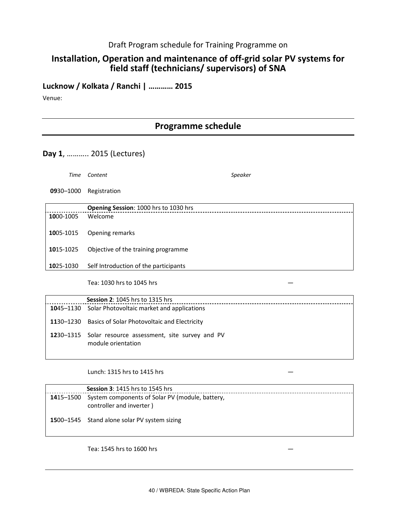### Draft Program schedule for Training Programme on

## Installation, Operation and maintenance of off-grid solar PV systems for field staff (technicians/ supervisors) of SNA

### Lucknow / Kolkata / Ranchi | ………… 2015

Venue:

## Programme schedule

#### Day 1, ……….. 2015 (Lectures)

Time Content Speaker

0930–1000 Registration

|           | Opening Session: 1000 hrs to 1030 hrs |
|-----------|---------------------------------------|
| 1000-1005 | Welcome                               |
| 1005-1015 | Opening remarks                       |
| 1015-1025 | Objective of the training programme   |
| 1025-1030 | Self Introduction of the participants |

Tea: 1030 hrs to 1045 hrs —

| <b>Session 2: 1045 hrs to 1315 hrs</b>                                        |
|-------------------------------------------------------------------------------|
| <b>1045–1130</b> Solar Photovoltaic market and applications                   |
| 1130–1230 Basics of Solar Photovoltaic and Electricity                        |
| 1230–1315 Solar resource assessment, site survey and PV<br>module orientation |

Lunch: 1315 hrs to 1415 hrs —

| <b>Session 3: 1415 hrs to 1545 hrs</b>                                                |
|---------------------------------------------------------------------------------------|
| 1415-1500 System components of Solar PV (module, battery,<br>controller and inverter) |
| 1500-1545 Stand alone solar PV system sizing                                          |

Tea: 1545 hrs to 1600 hrs —

40 / WBREDA: State Specific Action Plan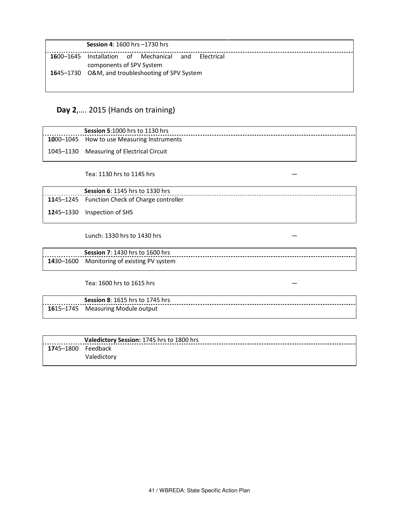|           | <b>Session 4: 1600 hrs -1730 hrs</b>                                        |
|-----------|-----------------------------------------------------------------------------|
| 1600–1645 | Installation of Mechanical<br>and<br>Electrical<br>components of SPV System |
|           | 1645-1730 O&M, and troubleshooting of SPV System                            |

## Day 2,…. 2015 (Hands on training)

| <b>Session 5:1000 hrs to 1130 hrs</b>              |
|----------------------------------------------------|
| <b>10</b> 00–1045 How to use Measuring Instruments |
| 1045-1130 Measuring of Electrical Circuit          |

. . . . . . . . . . . . . .

Tea: 1130 hrs to 1145 hrs —

| <b>Session 6: 1145 hrs to 1330 hrs</b>                |
|-------------------------------------------------------|
| <b>11</b> 45–1245 Function Check of Charge controller |
| <b>12</b> 45–1330 Inspection of SHS                   |

Lunch: 1330 hrs to 1430 hrs —

| <b>Session 7: 1430 hrs to 1600 hrs</b>     |
|--------------------------------------------|
| 1430-1600 Monitoring of existing PV system |

Tea: 1600 hrs to 1615 hrs —

Session 8: 1615 hrs to 1745 hrs 1615–1745 Measuring Module output

|                            | Valedictory Session: 1745 hrs to 1800 hrs |
|----------------------------|-------------------------------------------|
| <b>17</b> 45–1800 Feedback |                                           |
|                            | Valedictory                               |